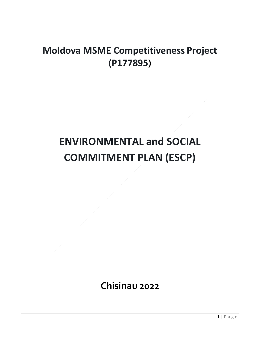## **Moldova MSME Competitiveness Project (P177895)**

## **ENVIRONMENTAL and SOCIAL COMMITMENT PLAN (ESCP)**

**Chisinau 2022**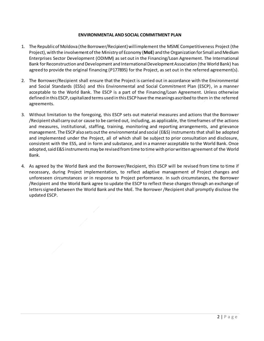## **ENVIRONMENTAL AND SOCIAL COMMITMENT PLAN**

- 1. The Republic of Moldova (the Borrower/Recipient)will implement the MSME Competitiveness Project (the Project), with the involvement of the Ministry of Economy (**MoE**) and the Organization for Small and Medium Enterprises Sector Development (ODIMM) as set out in the Financing/Loan Agreement. The International Bank for Reconstruction and Development and International Development Association (the World Bank) has agreed to provide the original financing (P177895) for the Project, as set out in the referred agreement(s).
- 2. The Borrower/Recipient shall ensure that the Project is carried out in accordance with the Environmental and Social Standards (ESSs) and this Environmental and Social Commitment Plan (ESCP), in a manner acceptable to the World Bank. The ESCP is a part of the Financing/Loan Agreement. Unless otherwise defined in this ESCP, capitalized terms used in this ESCP have the meanings ascribed to them in the referred agreements.
- 3. Without limitation to the foregoing, this ESCP sets out material measures and actions that the Borrower /Recipient shall carry out or cause to be carried out, including, as applicable, the timeframes of the actions and measures, institutional, staffing, training, monitoring and reporting arrangements, and grievance management. The ESCP also sets out the environmental and social (E&S) instruments that shall be adopted and implemented under the Project, all of which shall be subject to prior consultation and disclosure, consistent with the ESS, and in form and substance, and in a manner acceptable to the World Bank. Once adopted, said E&S instruments may be revised from time to time with prior written agreement of the World Bank.
- 4. As agreed by the World Bank and the Borrower/Recipient, this ESCP will be revised from time to time if necessary, during Project implementation, to reflect adaptive management of Project changes and unforeseen circumstances or in response to Project performance. In such circumstances, the Borrower /Recipient and the World Bank agree to update the ESCP to reflect these changes through an exchange of letters signed between the World Bank and the MoE. The Borrower /Recipient shall promptly disclose the updated ESCP.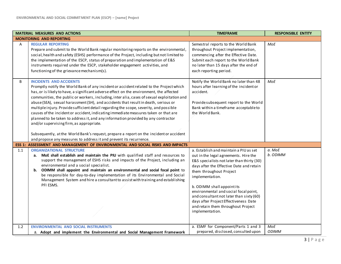|     | <b>MATERIAL MEASURES AND ACTIONS</b>                                                                                                                                                                                                                                                                                                                                                                                                                                                                                                                                                                                                                                                                                                                                                                                                                                                           | <b>TIMEFRAME</b>                                                                                                                                                                                                                                                                                                                                                                                                                             | <b>RESPONSIBLE ENTITY</b> |
|-----|------------------------------------------------------------------------------------------------------------------------------------------------------------------------------------------------------------------------------------------------------------------------------------------------------------------------------------------------------------------------------------------------------------------------------------------------------------------------------------------------------------------------------------------------------------------------------------------------------------------------------------------------------------------------------------------------------------------------------------------------------------------------------------------------------------------------------------------------------------------------------------------------|----------------------------------------------------------------------------------------------------------------------------------------------------------------------------------------------------------------------------------------------------------------------------------------------------------------------------------------------------------------------------------------------------------------------------------------------|---------------------------|
|     | <b>MONITORING AND REPORTING</b>                                                                                                                                                                                                                                                                                                                                                                                                                                                                                                                                                                                                                                                                                                                                                                                                                                                                |                                                                                                                                                                                                                                                                                                                                                                                                                                              |                           |
| Α   | <b>REGULAR REPORTING</b><br>Prepare and submit to the World Bank regular monitoring reports on the environmental,<br>social, health and safety (ESHS) performance of the Project, including but not limited to<br>the implementation of the ESCP, status of preparation and implementation of E&S<br>instruments required under the ESCP, stakeholder engagement activities, and<br>functioning of the grievance mechanism(s).                                                                                                                                                                                                                                                                                                                                                                                                                                                                 | Semestral reports to the World Bank<br>throughout Project implementation,<br>commencing after the Effective Date.<br>Submit each report to the World Bank<br>no later than 15 days after the end of<br>each reporting period.                                                                                                                                                                                                                | MoE                       |
| B   | <b>INCIDENTS AND ACCIDENTS</b><br>Promptly notify the World Bank of any incident or accident related to the Project which<br>has, or is likely to have, a significant adverse effect on the environment, the affected<br>communities, the public or workers, including, inter alia, cases of sexual exploitation and<br>abuse (SEA), sexual harassment (SH), and accidents that result in death, serious or<br>multiple injury. Provide sufficient detail regarding the scope, severity, and possible<br>causes of the incident or accident, indicating immediate measures taken or that are<br>planned to be taken to address it, and any information provided by any contractor<br>and/or supervising firm, as appropriate.<br>Subsequently, at the World Bank's request, prepare a report on the incident or accident<br>and propose any measures to address it and prevent its recurrence. | Notify the World Bank no later than 48<br>hours after learning of the incident or<br>accident.<br>Provide subsequent report to the World<br>Bank within a timeframe acceptable to<br>the World Bank.                                                                                                                                                                                                                                         | MoE                       |
|     | ESS 1: ASSESSMENT AND MANAGEMENT OF ENVIRONMENTAL AND SOCIAL RISKS AND IMPACTS                                                                                                                                                                                                                                                                                                                                                                                                                                                                                                                                                                                                                                                                                                                                                                                                                 |                                                                                                                                                                                                                                                                                                                                                                                                                                              |                           |
| 1.1 | <b>ORGANIZATIONAL STRUCTURE</b><br>MoE shall establish and maintain the PIU with qualified staff and resources to<br>а.<br>support the management of ESHS risks and impacts of the Project, including an<br>environmental and a social specialist.<br>ODIMM shall appoint and maintain an environmental and social focal point to<br>b.<br>be responsible for day-to-day implementation of its Environmental and Social<br>Management System and hire a consultant to assist with training and establishing<br>PFI ESMS.                                                                                                                                                                                                                                                                                                                                                                       | a. Establish and maintain a PIU as set<br>out in the legal agreements. Hire the<br>E&S specialists not later than thirty (30)<br>days after the Effective Date and retain<br>them throughout Project<br>implementation.<br>b. ODIMM shall appoint its<br>environmental and social focal point,<br>and consultant not later than sixty (60)<br>days after Project Effectiveness Date<br>and retain them throughout Project<br>implementation. | a. MoE<br>b. ODIMM        |
| 1.2 | <b>ENVIRONMENTAL AND SOCIAL INSTRUMENTS</b>                                                                                                                                                                                                                                                                                                                                                                                                                                                                                                                                                                                                                                                                                                                                                                                                                                                    | a. ESMF for Component/Parts 1 and 3                                                                                                                                                                                                                                                                                                                                                                                                          | MoE                       |
|     | a. Adopt and implement the Environmental and Social Management Framework                                                                                                                                                                                                                                                                                                                                                                                                                                                                                                                                                                                                                                                                                                                                                                                                                       | prepared, disclosed, consulted upon                                                                                                                                                                                                                                                                                                                                                                                                          | <b>ODIMM</b>              |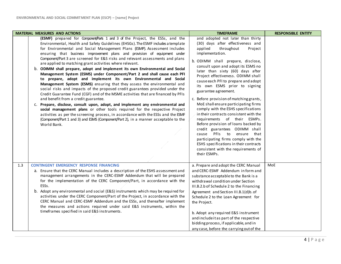| <b>MATERIAL MEASURES AND ACTIONS</b>                                                                                                                                                                                                                                                                                                                                                                                                                                                                                                                                                                                                                                                                                                                                                                                                                                                                                                                                                                                                                                                                                                                                                                                                                                                                                                                           | <b>TIMEFRAME</b>                                                                                                                                                                                                                                                                                                                                                                                                                                                                                                                                                                                                                                                                                                                                                                                                                       | <b>RESPONSIBLE ENTITY</b> |
|----------------------------------------------------------------------------------------------------------------------------------------------------------------------------------------------------------------------------------------------------------------------------------------------------------------------------------------------------------------------------------------------------------------------------------------------------------------------------------------------------------------------------------------------------------------------------------------------------------------------------------------------------------------------------------------------------------------------------------------------------------------------------------------------------------------------------------------------------------------------------------------------------------------------------------------------------------------------------------------------------------------------------------------------------------------------------------------------------------------------------------------------------------------------------------------------------------------------------------------------------------------------------------------------------------------------------------------------------------------|----------------------------------------------------------------------------------------------------------------------------------------------------------------------------------------------------------------------------------------------------------------------------------------------------------------------------------------------------------------------------------------------------------------------------------------------------------------------------------------------------------------------------------------------------------------------------------------------------------------------------------------------------------------------------------------------------------------------------------------------------------------------------------------------------------------------------------------|---------------------------|
| (ESMF) prepared for Component/Parts 1 and 3 of the Project, the ESSs, and the<br>Environmental, Health and Safety Guidelines (EHSGs). The ESMF includes a template<br>for Environmental and Social Management Plans (ESMP). Assessment includes<br>ensuring that business improvement plans and provision of equipment under<br>Component/Part 3 are screened for E&S risks and relevant assessments and plans<br>are applied to matching grant activities where relevant.<br>b. ODIMM shall prepare, adopt and implement its own Environmental and Social<br>Management System (ESMS) under Component/Part 2 and shall cause each PFI<br>to prepare, adopt and implement its own Environmental and Social<br>Management System (ESMS) ensuring that they assess the environmental and<br>social risks and impacts of the proposed credit guarantees provided under the<br>Credit Guarantee Fund (CGF) and of the MSME activities that are financed by PFIs<br>and benefit from a credit guarantee.<br>C. Prepare, disclose, consult upon, adopt, and implement any environmental and<br>social management plans or other tools required for the respective Project<br>activities as per the screening process, in accordance with the ESSs and the ESMF<br>(Component/Part 1 and 3) and ESMS (Component/Part 2), in a manner acceptable to the<br>World Bank. | and adopted not later than thirty<br>(30) days after effectiveness and<br>applied<br>throughout<br>Project<br>implementation.<br>b. ODIMM shall prepare, disclose,<br>consult upon and adopt its ESMS no<br>later than sixty (60) days after<br>Project effectiveness. ODIMM shall<br>cause each PFI to prepare and adopt<br>its own ESMS prior to signing<br>guarantee agreement.<br>c. Before provision of matching grants,<br>MoE shall ensure participating firms<br>comply with the ESHS specifications<br>in their contracts consistent with the<br>requirements of their ESMPs.<br>Before provision of loans backed by<br>credit guarantees ODIMM shall<br>cause PFIs to<br>ensure that<br>participating firms comply with the<br>ESHS specifications in their contracts<br>consistent with the requirements of<br>their ESMPs. |                           |
| 1.3<br><b>CONTINGENT EMERGENCY RESPONSE FINANCING</b><br>a. Ensure that the CERC Manual includes a description of the ESHS assessment and<br>management arrangements in the CERC-ESMF Addendum that will be prepared<br>for the implementation of the CERC Component/Part, in accordance with the<br>ESSs.<br>b. Adopt any environmental and social (E&S) instruments which may be required for<br>activities under the CERC Component/Part of the Project, in accordance with the<br>CERC Manual and CERC-ESMF Addendum and the ESSs, and thereafter implement<br>the measures and actions required under said E&S instruments, within the<br>timeframes specified in said E&S instruments.                                                                                                                                                                                                                                                                                                                                                                                                                                                                                                                                                                                                                                                                   | a. Prepare and adopt the CERC Manual<br>and CERC-ESMF Addendum in form and<br>substance acceptable to the Bank is a<br>withdrawal condition under Section<br>III.B.2.b of Schedule 2 to the Financing<br>Agreement and Section III.B.1(d)b. of<br>Schedule 2 to the Loan Agreement for<br>the Project.<br>b. Adopt any required E&S instrument<br>and include it as part of the respective<br>bidding process, if applicable, and in<br>any case, before the carrying out of the                                                                                                                                                                                                                                                                                                                                                       | MoE                       |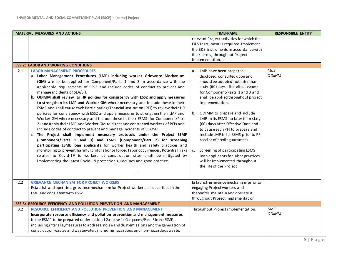|     | <b>MATERIAL MEASURES AND ACTIONS</b>                                                                                                                                                                                                                                                                                                                                                                                                                                                                                                                                                                                                                                                                                                                                                                                                                                                                                                                                                                                                                                                                                                                                                                                                                                                                                                                                                                                                                   | <b>TIMEFRAME</b>                                                                                                                                                                                                                                                                                                                                                                                                                                                                                                                                                                                                                                                                                                                                                                                 | <b>RESPONSIBLE ENTITY</b>  |
|-----|--------------------------------------------------------------------------------------------------------------------------------------------------------------------------------------------------------------------------------------------------------------------------------------------------------------------------------------------------------------------------------------------------------------------------------------------------------------------------------------------------------------------------------------------------------------------------------------------------------------------------------------------------------------------------------------------------------------------------------------------------------------------------------------------------------------------------------------------------------------------------------------------------------------------------------------------------------------------------------------------------------------------------------------------------------------------------------------------------------------------------------------------------------------------------------------------------------------------------------------------------------------------------------------------------------------------------------------------------------------------------------------------------------------------------------------------------------|--------------------------------------------------------------------------------------------------------------------------------------------------------------------------------------------------------------------------------------------------------------------------------------------------------------------------------------------------------------------------------------------------------------------------------------------------------------------------------------------------------------------------------------------------------------------------------------------------------------------------------------------------------------------------------------------------------------------------------------------------------------------------------------------------|----------------------------|
| 2.1 | <b>ESS 2: LABOR AND WORKING CONDITIONS</b><br><b>LABOR MANAGEMENT PROCEDURES</b><br>a. Labor Management Procedures (LMP) including worker Grievance Mechanism<br>(GM) are to be applied for Component/Parts 1 and 3 in accordance with the<br>applicable requirements of ESS2 and include codes of conduct to prevent and<br>manage incidents of SEA/SH.<br>b. ODIMM shall review its HR policies for consistency with ESS2 and apply measures<br>to strengthen its LMP and Worker GM where necessary and include these in their<br>ESMS and shall cause each Participating Financial Institution (PFI) to review their HR<br>policies for consistency with ESS2 and apply measures to strengthen their LMP and<br>Worker GM where necessary and include these in their ESMS (for Component/Part<br>2) and apply their LMP and Worker GM to direct and contracted workers of PFIs and<br>include codes of conduct to prevent and manage incidents of SEA/SH.<br>c. The Project shall implement necessary protocols under the Project ESMF<br>(Component/Parts 1 and 3) and ESMS (Component/Part 2) for screening<br>participating ESME loan applicants for worker health and safety practices and<br>monitoring to prevent harmful child labor or forced labor occurrences. Potential risks<br>related to Covid-19 to workers at construction sites shall be mitigated by<br>implementing the latest Covid-19 protection guidelines and good practice. | relevant Project activities for which the<br>E&S instrument is required. Implement<br>the E&S instruments in accordance with<br>their terms, throughout Project<br>implementation.<br>a. LMP have been prepared,<br>disclosed, consulted upon and<br>should be adopted not later than<br>sixty (60) days after effectiveness<br>for Component/Parts 1 and 3 and<br>shall be applied throughout project<br>implementation.<br>b, ODIMM to prepare and include<br>LMP in its ESMS no later than sixty<br>(60) days after Effective Date and<br>to cause each PFI to prepare and<br>include LMP in its ESMS prior to PFI<br>receipt of credit guarantees.<br>c. Screening of participating ESMS<br>Ioan applicants for labor practices<br>will be implemented throughout<br>the life of the Project | MoE<br><b>ODIMM</b>        |
| 2.2 | <b>GRIEVANCE MECHANISM FOR PROJECT WORKERS</b><br>Establish and operate a grievance mechanism for Project workers, as described in the<br>LMP and consistent with ESS2.                                                                                                                                                                                                                                                                                                                                                                                                                                                                                                                                                                                                                                                                                                                                                                                                                                                                                                                                                                                                                                                                                                                                                                                                                                                                                | Establish grievance mechanism prior to<br>engaging Project workers and<br>thereafter maintain and operate it<br>throughout Project implementation.                                                                                                                                                                                                                                                                                                                                                                                                                                                                                                                                                                                                                                               |                            |
|     | <b>ESS 3: RESOURCE EFFICIENCY AND POLLUTION PREVENTION AND MANAGEMENT</b>                                                                                                                                                                                                                                                                                                                                                                                                                                                                                                                                                                                                                                                                                                                                                                                                                                                                                                                                                                                                                                                                                                                                                                                                                                                                                                                                                                              |                                                                                                                                                                                                                                                                                                                                                                                                                                                                                                                                                                                                                                                                                                                                                                                                  |                            |
| 3.2 | <b>RESOURCE EFFICIENCY AND POLLUTION PREVENTION AND MANAGEMENT</b><br>Incorporate resource efficiency and pollution prevention and management measures<br>in the ESMP to be prepared under action 1.2a above for Component/Part 3 in the ESMF,<br>including, interalia, measures to address: noise and dust emissions and the generation of<br>construction wastes and wastewater, including hazardous and non-hazardous waste,                                                                                                                                                                                                                                                                                                                                                                                                                                                                                                                                                                                                                                                                                                                                                                                                                                                                                                                                                                                                                        | Throughout Project implementation.                                                                                                                                                                                                                                                                                                                                                                                                                                                                                                                                                                                                                                                                                                                                                               | <b>MoE</b><br><b>ODIMM</b> |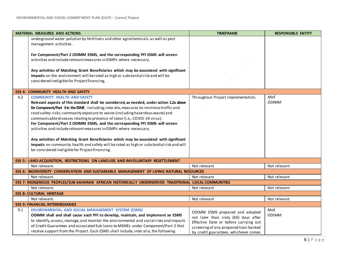|     | <b>MATERIAL MEASURES AND ACTIONS</b>                                                                                                                                                                                                                                  | <b>TIMEFRAME</b>                                                                                                        | <b>RESPONSIBLE ENTITY</b> |
|-----|-----------------------------------------------------------------------------------------------------------------------------------------------------------------------------------------------------------------------------------------------------------------------|-------------------------------------------------------------------------------------------------------------------------|---------------------------|
|     | underground water polution by fertilizers and other agrochemicals. as well as pest<br>management activities.                                                                                                                                                          |                                                                                                                         |                           |
|     | For Component/Part 2 ODIMM ESMS, and the corresponding PFI ESMS will screen                                                                                                                                                                                           |                                                                                                                         |                           |
|     | activities and include relevant measures in ESMPs where necessary.                                                                                                                                                                                                    |                                                                                                                         |                           |
|     |                                                                                                                                                                                                                                                                       |                                                                                                                         |                           |
|     | Any activities of Matching Grant Beneficiaries which may be associated with significant                                                                                                                                                                               |                                                                                                                         |                           |
|     | impacts on the environment will be rated as high or substantial risk and will be                                                                                                                                                                                      |                                                                                                                         |                           |
|     | considered ineligible for Project financing.                                                                                                                                                                                                                          |                                                                                                                         |                           |
|     | <b>ESS 4: COMMUNITY HEALTH AND SAFETY</b>                                                                                                                                                                                                                             |                                                                                                                         |                           |
| 4.2 | <b>COMMUNITY HEALTH AND SAFETY</b>                                                                                                                                                                                                                                    | Throughout Project implementation.                                                                                      | MoE                       |
|     | Relevant aspects of this standard shall be considered, as needed, under action 1.2a above                                                                                                                                                                             |                                                                                                                         | <b>ODIMM</b>              |
|     | for Component/Part 3 in the ESMF, including, interalia, measures to: minimize traffic and                                                                                                                                                                             |                                                                                                                         |                           |
|     | road safety risks; community exposure to waste (including hazardous waste) and<br>communicable diseases relating to presence of labor (i.e., COVID-19 virus).                                                                                                         |                                                                                                                         |                           |
|     | For Component/Part 2 ODIMM ESMS, and the corresponding PFI ESMS will screen                                                                                                                                                                                           |                                                                                                                         |                           |
|     | activities and include relevant measures in ESMPs where necessary.                                                                                                                                                                                                    |                                                                                                                         |                           |
|     |                                                                                                                                                                                                                                                                       |                                                                                                                         |                           |
|     | Any activities of Matching Grant Beneficiaries which may be associated with significant                                                                                                                                                                               |                                                                                                                         |                           |
|     | impacts on community health and safety will be rated as high or substantial risk and will                                                                                                                                                                             |                                                                                                                         |                           |
|     | be considered ineligible for Project financing.                                                                                                                                                                                                                       |                                                                                                                         |                           |
|     | ESS 5: LAND ACQUISITION, RESTRICTIONS ON LAND USE AND INVOLUNTARY RESETTLEMENT                                                                                                                                                                                        |                                                                                                                         |                           |
|     | Not relevant.                                                                                                                                                                                                                                                         | Not relevant                                                                                                            | Not relevant              |
|     | ESS 6: BIODIVERSITY CONSERVATION AND SUSTAINABLE MANAGEMENT OF LIVING NATURAL RESOURCES                                                                                                                                                                               |                                                                                                                         |                           |
|     | Not relevant.                                                                                                                                                                                                                                                         | Not relevant                                                                                                            | Not relevant              |
|     | ESS 7: INDIGENOUS PEOPLES/SUB-SAHARAN AFRICAN HISTORICALLY UNDERSERVED TRADITIONAL LOCAL COMMUNITIES                                                                                                                                                                  |                                                                                                                         |                           |
|     | Not relevant.                                                                                                                                                                                                                                                         | Not relevant                                                                                                            | Not relevant              |
|     | <b>ESS 8: CULTURAL HERITAGE</b>                                                                                                                                                                                                                                       |                                                                                                                         |                           |
|     | Not relevant.                                                                                                                                                                                                                                                         | Not relevant                                                                                                            | Not relevant              |
|     | <b>ESS 9: FINANCIAL INTERMEDIARIES</b>                                                                                                                                                                                                                                |                                                                                                                         |                           |
| 9.1 | ENVIRONMENTAL AND SOCIAL MANAGEMENT SYSTEM (ESMS)                                                                                                                                                                                                                     | ODIMM ESMS prepared and adopted                                                                                         | MoE<br><b>ODIMM</b>       |
|     | ODIMM shall and shall cause each PFI to develop, maintain, and implement an ESMS                                                                                                                                                                                      | not later than sixty (60) days after                                                                                    |                           |
|     |                                                                                                                                                                                                                                                                       |                                                                                                                         |                           |
|     |                                                                                                                                                                                                                                                                       |                                                                                                                         |                           |
|     | to identify, assess, manage, and monitor the environmental and social risks and impacts<br>of Credit Guarantees and associated Sub Ioans to MSMEs under Component/Part 2 that<br>receive support from the Project. Each ESMS shall include, inter alia, the following | Effective Date or before carrying out<br>screening of any proposed loan backed<br>by credit guarantees, whichever comes |                           |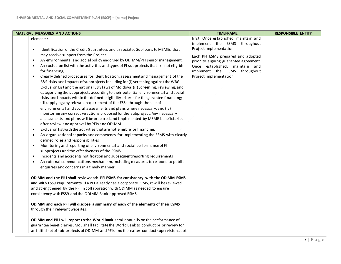| <b>MATERIAL MEASURES AND ACTIONS</b>                                                                                                                                                                                                                                                                                                                                                                                                                                                                                                                                                                                                                                                                                                                                                                                                                                                                                                                                                                                                                                                                                                                                                                                                                                                                                                                                                                                                                                                                                                                                                                                                                                                                                                                                                                                                                                                                                                                                                                                                                                                                                               | <b>TIMEFRAME</b>                                                                                                                                                                                                                                                               | <b>RESPONSIBLE ENTITY</b> |
|------------------------------------------------------------------------------------------------------------------------------------------------------------------------------------------------------------------------------------------------------------------------------------------------------------------------------------------------------------------------------------------------------------------------------------------------------------------------------------------------------------------------------------------------------------------------------------------------------------------------------------------------------------------------------------------------------------------------------------------------------------------------------------------------------------------------------------------------------------------------------------------------------------------------------------------------------------------------------------------------------------------------------------------------------------------------------------------------------------------------------------------------------------------------------------------------------------------------------------------------------------------------------------------------------------------------------------------------------------------------------------------------------------------------------------------------------------------------------------------------------------------------------------------------------------------------------------------------------------------------------------------------------------------------------------------------------------------------------------------------------------------------------------------------------------------------------------------------------------------------------------------------------------------------------------------------------------------------------------------------------------------------------------------------------------------------------------------------------------------------------------|--------------------------------------------------------------------------------------------------------------------------------------------------------------------------------------------------------------------------------------------------------------------------------|---------------------------|
| elements:<br>Identification of the Credit Guarantees and associated Sub Ioans to MSMEs that<br>$\bullet$<br>may receive support from the Project.<br>An environmental and social policy endorsed by ODIMM/PFI senior management.<br>$\bullet$<br>An exclusion list with the activities and types of FI subprojects that are not eligible<br>for financing,<br>Clearly defined procedures for identification, assessment and management of the<br>$\bullet$<br>E&S risks and impacts of subprojects including for (i) screening against the WBG<br>Exclusion List and the national E&S laws of Moldova; (ii) Screening, reviewing, and<br>categorizing the subprojects according to their potential environmental and social<br>risks and impacts within the defined eligibility criteria for the gurantee financing;<br>(iii) applying any relevant requirement of the ESSs through the use of<br>environmental and social assessments and plans where necessary; and (iv)<br>monitoring any corrective actions proposed for the subproject. Any necessary<br>assessments and plans will be prepared and implemented by MSME beneficiaries<br>after review and approval by PFIs and ODIMM.<br>Exclusion list with the activities that are not eligible for financing,<br>$\bullet$<br>An organizational capacity and competency for implementing the ESMS with clearly<br>$\bullet$<br>defined roles and responsibilities<br>Monitoring and reporting of environmental and social performance of FI<br>$\bullet$<br>subprojects and the effectiveness of the ESMS.<br>Incidents and accidents notification and subsequent reporting requirements.<br>$\bullet$<br>An external communications mechanism, including measures to respond to public<br>$\bullet$<br>enquiries and concerns in a timely manner.<br>ODIMM and the PIU shall review each PFI ESMS for consistency with the ODIMM ESMS<br>and with ESS9 requirements. If a PFI already has a corporate ESMS, it will be reviewed<br>and strengthened by the PFI in collaboration with ODIMM as needed to ensure<br>consistency with ESS9 and the ODIMM Bank-approved ESMS. | first. Once established, maintain and<br>implement the ESMS throughout<br>Project implementation.<br>Each PFI ESMS prepared and adopted<br>prior to signing guarantee agreement.<br>Once established, maintain and<br>implement the ESMS throughout<br>Project implementation. |                           |
| ODIMM and each PFI will disclose a summary of each of the elements of their ESMS<br>through their relevant websites.<br>ODIMM and PIU will report to the World Bank semi-annually on the performance of<br>guarantee beneficiaries. MoE shall facilitate the World Bank to conduct prior review for<br>an initial set of sub-projects of ODIMM and PFIs and thereafter conduct supervision spot                                                                                                                                                                                                                                                                                                                                                                                                                                                                                                                                                                                                                                                                                                                                                                                                                                                                                                                                                                                                                                                                                                                                                                                                                                                                                                                                                                                                                                                                                                                                                                                                                                                                                                                                    |                                                                                                                                                                                                                                                                                |                           |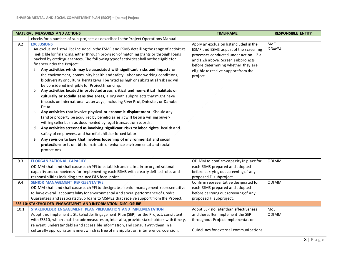|      | <b>MATERIAL MEASURES AND ACTIONS</b>                                                                                                                                                                                                                                                                                                                                                                                                                                                                                                                                                                                                                                                                                                                                                                                                                                                                                                                                                                                                                                                                                                                                                                                                                                                                                                                                                                                                                                                                 | <b>TIMEFRAME</b>                                                                                                                                                                                                                                             | <b>RESPONSIBLE ENTITY</b> |
|------|------------------------------------------------------------------------------------------------------------------------------------------------------------------------------------------------------------------------------------------------------------------------------------------------------------------------------------------------------------------------------------------------------------------------------------------------------------------------------------------------------------------------------------------------------------------------------------------------------------------------------------------------------------------------------------------------------------------------------------------------------------------------------------------------------------------------------------------------------------------------------------------------------------------------------------------------------------------------------------------------------------------------------------------------------------------------------------------------------------------------------------------------------------------------------------------------------------------------------------------------------------------------------------------------------------------------------------------------------------------------------------------------------------------------------------------------------------------------------------------------------|--------------------------------------------------------------------------------------------------------------------------------------------------------------------------------------------------------------------------------------------------------------|---------------------------|
|      | checks for a number of sub-projects as described in the Project Operations Manual.                                                                                                                                                                                                                                                                                                                                                                                                                                                                                                                                                                                                                                                                                                                                                                                                                                                                                                                                                                                                                                                                                                                                                                                                                                                                                                                                                                                                                   |                                                                                                                                                                                                                                                              |                           |
| 9.2  | <b>EXCLUSIONS</b><br>An exclusion list will be included in the ESMF and ESMS detailing the range of activities<br>ineligible for financing, either through provision of matching grants or through loans<br>backed by credit guarantees. The following type of activities shall not be eligible for<br>financeunder the Project:<br>Any activities which may be associated with significant risks and impacts on<br>а.<br>the environment, community health and safety, labor and working conditions,<br>biodiversity or cultural heritage will be rated as high or substantial risk and will<br>be considered ineligible for Project financing.<br>Any activities located in protected areas, critical and non-critical habitats or<br>b.<br>culturally or socially sensitive areas, along with subprojects that might have<br>impacts on international waterways, including River Prut, Dniester, or Danube<br>Delta.<br>Any activities that involve physical or economic displacement. Should any<br>c.<br>land or property be acquired by beneficiaries, it will be on a willing buyer-<br>willing seller basis as documented by legal transaction records.<br>Any activities screened as involving significant risks to labor rights, health and<br>d.<br>safety of employees, and harmful child or forced labor.<br>Any revision to laws that involves loosening of environmental and social<br>e.<br>protections or is unable to maintain or enhance environmental and social<br>protections. | Apply an exclusion list included in the<br>ESMF and ESMS as part of the screening<br>processes conducted under action 1.2.a<br>and 1.2b above. Screen subprojects<br>before determining whether they are<br>eligible to receive support from the<br>project. | MoE<br><b>ODIMM</b>       |
| 9.3  | <b>FI ORGANIZATIONAL CAPACITY</b><br>ODIMM shall and shall cause each PFI to establish and maintain an organizational<br>capacity and competency for implementing each ESMS with clearly defined roles and<br>responsibilities including a trained E&S focal point.                                                                                                                                                                                                                                                                                                                                                                                                                                                                                                                                                                                                                                                                                                                                                                                                                                                                                                                                                                                                                                                                                                                                                                                                                                  | ODIMM to confirm capacity in place for<br>each ESMS prepared and adopted<br>before carrying out screening of any<br>proposed FI subproject.                                                                                                                  | <b>ODIMM</b>              |
| 9.4  | <b>SENIOR MANAGEMENT REPRESENTATIVE</b><br>ODIMM shall and shall cause each PFI to designate a senior management representative                                                                                                                                                                                                                                                                                                                                                                                                                                                                                                                                                                                                                                                                                                                                                                                                                                                                                                                                                                                                                                                                                                                                                                                                                                                                                                                                                                      | Confirm representative designated for<br>each ESMS prepared and adopted                                                                                                                                                                                      | ODIMM                     |
|      | to have overall accountability for environmental and social performance of Credit<br>Guarantees and associated Sub Ioans to MSMEs that receive support from the Project.                                                                                                                                                                                                                                                                                                                                                                                                                                                                                                                                                                                                                                                                                                                                                                                                                                                                                                                                                                                                                                                                                                                                                                                                                                                                                                                             | before carrying out screening of any<br>proposed FI subproject.                                                                                                                                                                                              |                           |
|      | ESS 10: STAKEHOLDER ENGAGEMENT AND INFORMATION DISCLOSURE                                                                                                                                                                                                                                                                                                                                                                                                                                                                                                                                                                                                                                                                                                                                                                                                                                                                                                                                                                                                                                                                                                                                                                                                                                                                                                                                                                                                                                            |                                                                                                                                                                                                                                                              |                           |
| 10.1 | STAKEHOLDER ENGAGEMENT PLAN PREPARATION AND IMPLEMENTATION                                                                                                                                                                                                                                                                                                                                                                                                                                                                                                                                                                                                                                                                                                                                                                                                                                                                                                                                                                                                                                                                                                                                                                                                                                                                                                                                                                                                                                           | Adopt SEP no later than effectiveness                                                                                                                                                                                                                        | MoE                       |
|      | Adopt and implement a Stakeholder Engagement Plan (SEP) for the Project, consistent                                                                                                                                                                                                                                                                                                                                                                                                                                                                                                                                                                                                                                                                                                                                                                                                                                                                                                                                                                                                                                                                                                                                                                                                                                                                                                                                                                                                                  | and thereafter implement the SEP                                                                                                                                                                                                                             | <b>ODIMM</b>              |
|      | with ESS10, which shall include measures to, inter alia, provide stakeholders with timely,                                                                                                                                                                                                                                                                                                                                                                                                                                                                                                                                                                                                                                                                                                                                                                                                                                                                                                                                                                                                                                                                                                                                                                                                                                                                                                                                                                                                           | throughout Project implementation                                                                                                                                                                                                                            |                           |
|      | relevant, understandable and accessible information, and consult with them in a                                                                                                                                                                                                                                                                                                                                                                                                                                                                                                                                                                                                                                                                                                                                                                                                                                                                                                                                                                                                                                                                                                                                                                                                                                                                                                                                                                                                                      |                                                                                                                                                                                                                                                              |                           |
|      | culturally appropriate manner, which is free of manipulation, interference, coercion,                                                                                                                                                                                                                                                                                                                                                                                                                                                                                                                                                                                                                                                                                                                                                                                                                                                                                                                                                                                                                                                                                                                                                                                                                                                                                                                                                                                                                | Guidelines for external communications                                                                                                                                                                                                                       |                           |